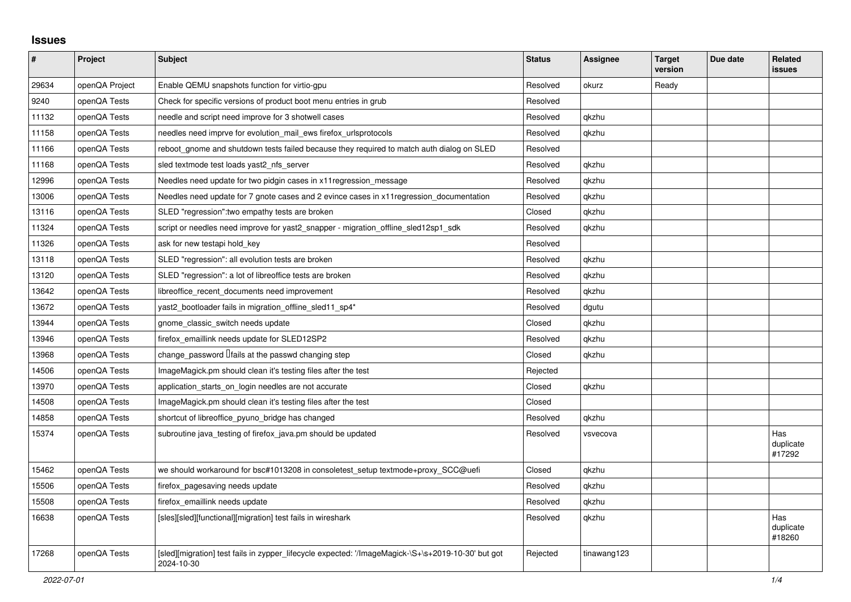## **Issues**

| $\sharp$ | Project        | <b>Subject</b>                                                                                                   | <b>Status</b> | Assignee    | <b>Target</b><br>version | Due date | <b>Related</b><br><b>issues</b> |
|----------|----------------|------------------------------------------------------------------------------------------------------------------|---------------|-------------|--------------------------|----------|---------------------------------|
| 29634    | openQA Project | Enable QEMU snapshots function for virtio-gpu                                                                    | Resolved      | okurz       | Ready                    |          |                                 |
| 9240     | openQA Tests   | Check for specific versions of product boot menu entries in grub                                                 | Resolved      |             |                          |          |                                 |
| 11132    | openQA Tests   | needle and script need improve for 3 shotwell cases                                                              | Resolved      | gkzhu       |                          |          |                                 |
| 11158    | openQA Tests   | needles need imprve for evolution mail ews firefox urlsprotocols                                                 | Resolved      | gkzhu       |                          |          |                                 |
| 11166    | openQA Tests   | reboot gnome and shutdown tests failed because they required to match auth dialog on SLED                        | Resolved      |             |                          |          |                                 |
| 11168    | openQA Tests   | sled textmode test loads yast2_nfs_server                                                                        | Resolved      | qkzhu       |                          |          |                                 |
| 12996    | openQA Tests   | Needles need update for two pidgin cases in x11 regression_message                                               | Resolved      | qkzhu       |                          |          |                                 |
| 13006    | openQA Tests   | Needles need update for 7 gnote cases and 2 evince cases in x11 regression documentation                         | Resolved      | qkzhu       |                          |          |                                 |
| 13116    | openQA Tests   | SLED "regression": two empathy tests are broken                                                                  | Closed        | qkzhu       |                          |          |                                 |
| 11324    | openQA Tests   | script or needles need improve for yast2 snapper - migration offline sled12sp1 sdk                               | Resolved      | qkzhu       |                          |          |                                 |
| 11326    | openQA Tests   | ask for new testapi hold key                                                                                     | Resolved      |             |                          |          |                                 |
| 13118    | openQA Tests   | SLED "regression": all evolution tests are broken                                                                | Resolved      | qkzhu       |                          |          |                                 |
| 13120    | openQA Tests   | SLED "regression": a lot of libreoffice tests are broken                                                         | Resolved      | gkzhu       |                          |          |                                 |
| 13642    | openQA Tests   | libreoffice recent documents need improvement                                                                    | Resolved      | gkzhu       |                          |          |                                 |
| 13672    | openQA Tests   | yast2_bootloader fails in migration_offline_sled11_sp4*                                                          | Resolved      | dgutu       |                          |          |                                 |
| 13944    | openQA Tests   | gnome_classic_switch needs update                                                                                | Closed        | qkzhu       |                          |          |                                 |
| 13946    | openQA Tests   | firefox_emaillink needs update for SLED12SP2                                                                     | Resolved      | qkzhu       |                          |          |                                 |
| 13968    | openQA Tests   | change_password <i>Ifails</i> at the passwd changing step                                                        | Closed        | qkzhu       |                          |          |                                 |
| 14506    | openQA Tests   | ImageMagick.pm should clean it's testing files after the test                                                    | Rejected      |             |                          |          |                                 |
| 13970    | openQA Tests   | application starts on login needles are not accurate                                                             | Closed        | qkzhu       |                          |          |                                 |
| 14508    | openQA Tests   | ImageMagick.pm should clean it's testing files after the test                                                    | Closed        |             |                          |          |                                 |
| 14858    | openQA Tests   | shortcut of libreoffice pyuno bridge has changed                                                                 | Resolved      | gkzhu       |                          |          |                                 |
| 15374    | openQA Tests   | subroutine java testing of firefox java.pm should be updated                                                     | Resolved      | vsvecova    |                          |          | Has<br>duplicate<br>#17292      |
| 15462    | openQA Tests   | we should workaround for bsc#1013208 in consoletest_setup textmode+proxy_SCC@uefi                                | Closed        | qkzhu       |                          |          |                                 |
| 15506    | openQA Tests   | firefox_pagesaving needs update                                                                                  | Resolved      | qkzhu       |                          |          |                                 |
| 15508    | openQA Tests   | firefox emaillink needs update                                                                                   | Resolved      | qkzhu       |                          |          |                                 |
| 16638    | openQA Tests   | [sles][sled][functional][migration] test fails in wireshark                                                      | Resolved      | qkzhu       |                          |          | Has<br>duplicate<br>#18260      |
| 17268    | openQA Tests   | [sled][migration] test fails in zypper_lifecycle expected: '/ImageMagick-\S+\s+2019-10-30' but got<br>2024-10-30 | Rejected      | tinawang123 |                          |          |                                 |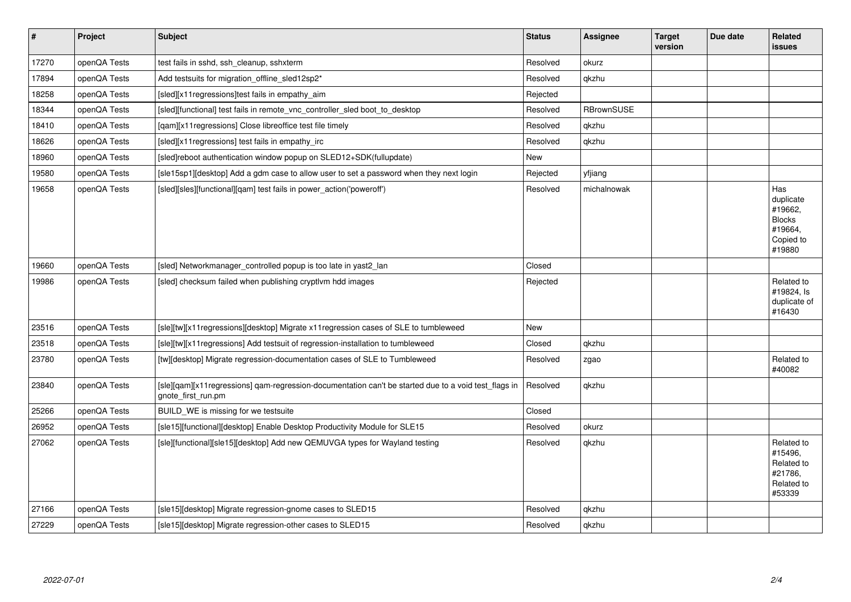| $\vert$ # | Project      | <b>Subject</b>                                                                                                              | <b>Status</b> | Assignee          | <b>Target</b><br>version | Due date | Related<br><b>issues</b>                                                       |
|-----------|--------------|-----------------------------------------------------------------------------------------------------------------------------|---------------|-------------------|--------------------------|----------|--------------------------------------------------------------------------------|
| 17270     | openQA Tests | test fails in sshd, ssh cleanup, sshxterm                                                                                   | Resolved      | okurz             |                          |          |                                                                                |
| 17894     | openQA Tests | Add testsuits for migration offline sled12sp2*                                                                              | Resolved      | qkzhu             |                          |          |                                                                                |
| 18258     | openQA Tests | [sled][x11 regressions]test fails in empathy aim                                                                            | Rejected      |                   |                          |          |                                                                                |
| 18344     | openQA Tests | [sled][functional] test fails in remote vnc controller sled boot to desktop                                                 | Resolved      | <b>RBrownSUSE</b> |                          |          |                                                                                |
| 18410     | openQA Tests | [gam][x11 regressions] Close libreoffice test file timely                                                                   | Resolved      | gkzhu             |                          |          |                                                                                |
| 18626     | openQA Tests | [sled][x11 regressions] test fails in empathy_irc                                                                           | Resolved      | qkzhu             |                          |          |                                                                                |
| 18960     | openQA Tests | [sled]reboot authentication window popup on SLED12+SDK(fullupdate)                                                          | New           |                   |                          |          |                                                                                |
| 19580     | openQA Tests | [sle15sp1][desktop] Add a gdm case to allow user to set a password when they next login                                     | Rejected      | yfjiang           |                          |          |                                                                                |
| 19658     | openQA Tests | [sled][sles][functional][qam] test fails in power action('poweroff')                                                        | Resolved      | michalnowak       |                          |          | Has<br>duplicate<br>#19662,<br><b>Blocks</b><br>#19664,<br>Copied to<br>#19880 |
| 19660     | openQA Tests | [sled] Networkmanager controlled popup is too late in yast2 lan                                                             | Closed        |                   |                          |          |                                                                                |
| 19986     | openQA Tests | [sled] checksum failed when publishing cryptlvm hdd images                                                                  | Rejected      |                   |                          |          | Related to<br>#19824, Is<br>duplicate of<br>#16430                             |
| 23516     | openQA Tests | [sle][tw][x11regressions][desktop] Migrate x11regression cases of SLE to tumbleweed                                         | New           |                   |                          |          |                                                                                |
| 23518     | openQA Tests | [sle][tw][x11regressions] Add testsuit of regression-installation to tumbleweed                                             | Closed        | qkzhu             |                          |          |                                                                                |
| 23780     | openQA Tests | [tw][desktop] Migrate regression-documentation cases of SLE to Tumbleweed                                                   | Resolved      | zgao              |                          |          | Related to<br>#40082                                                           |
| 23840     | openQA Tests | [sle][gam][x11 regressions] gam-regression-documentation can't be started due to a void test flags in<br>gnote first run.pm | Resolved      | qkzhu             |                          |          |                                                                                |
| 25266     | openQA Tests | BUILD WE is missing for we testsuite                                                                                        | Closed        |                   |                          |          |                                                                                |
| 26952     | openQA Tests | [sle15][functional][desktop] Enable Desktop Productivity Module for SLE15                                                   | Resolved      | okurz             |                          |          |                                                                                |
| 27062     | openQA Tests | [sle][functional][sle15][desktop] Add new QEMUVGA types for Wayland testing                                                 | Resolved      | qkzhu             |                          |          | Related to<br>#15496,<br>Related to<br>#21786,<br>Related to<br>#53339         |
| 27166     | openQA Tests | [sle15][desktop] Migrate regression-gnome cases to SLED15                                                                   | Resolved      | qkzhu             |                          |          |                                                                                |
| 27229     | openQA Tests | [sle15][desktop] Migrate regression-other cases to SLED15                                                                   | Resolved      | qkzhu             |                          |          |                                                                                |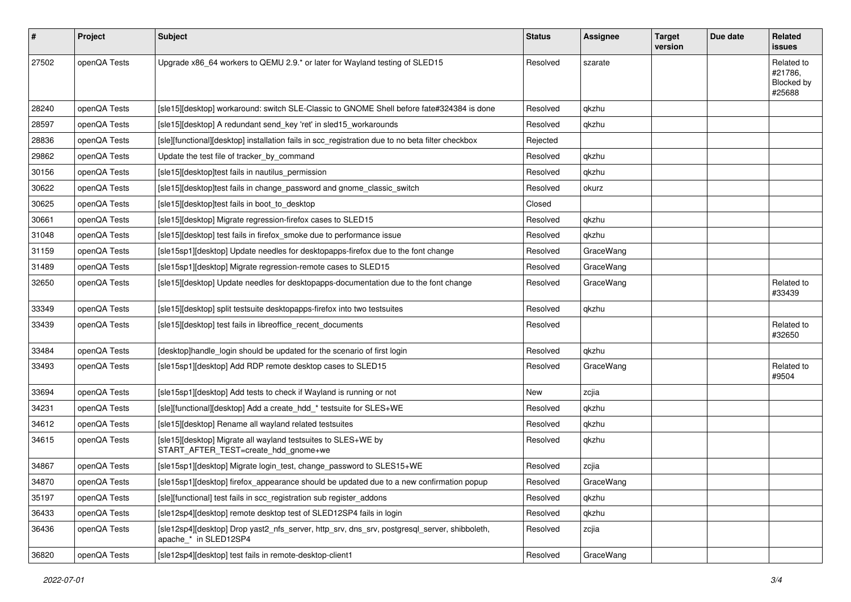| #     | Project      | <b>Subject</b>                                                                                                        | <b>Status</b> | <b>Assignee</b> | <b>Target</b><br>version | Due date | Related<br><b>issues</b>                      |
|-------|--------------|-----------------------------------------------------------------------------------------------------------------------|---------------|-----------------|--------------------------|----------|-----------------------------------------------|
| 27502 | openQA Tests | Upgrade x86_64 workers to QEMU 2.9.* or later for Wayland testing of SLED15                                           | Resolved      | szarate         |                          |          | Related to<br>#21786,<br>Blocked by<br>#25688 |
| 28240 | openQA Tests | [sle15][desktop] workaround: switch SLE-Classic to GNOME Shell before fate#324384 is done                             | Resolved      | qkzhu           |                          |          |                                               |
| 28597 | openQA Tests | [sle15][desktop] A redundant send_key 'ret' in sled15_workarounds                                                     | Resolved      | qkzhu           |                          |          |                                               |
| 28836 | openQA Tests | [sle][functional][desktop] installation fails in scc_registration due to no beta filter checkbox                      | Rejected      |                 |                          |          |                                               |
| 29862 | openQA Tests | Update the test file of tracker_by_command                                                                            | Resolved      | qkzhu           |                          |          |                                               |
| 30156 | openQA Tests | [sle15][desktop]test fails in nautilus permission                                                                     | Resolved      | qkzhu           |                          |          |                                               |
| 30622 | openQA Tests | [sle15][desktop]test fails in change_password and gnome_classic_switch                                                | Resolved      | okurz           |                          |          |                                               |
| 30625 | openQA Tests | [sle15] [desktop] test fails in boot_to_desktop                                                                       | Closed        |                 |                          |          |                                               |
| 30661 | openQA Tests | [sle15][desktop] Migrate regression-firefox cases to SLED15                                                           | Resolved      | qkzhu           |                          |          |                                               |
| 31048 | openQA Tests | [sle15][desktop] test fails in firefox smoke due to performance issue                                                 | Resolved      | qkzhu           |                          |          |                                               |
| 31159 | openQA Tests | [sle15sp1][desktop] Update needles for desktopapps-firefox due to the font change                                     | Resolved      | GraceWang       |                          |          |                                               |
| 31489 | openQA Tests | [sle15sp1][desktop] Migrate regression-remote cases to SLED15                                                         | Resolved      | GraceWang       |                          |          |                                               |
| 32650 | openQA Tests | [sle15][desktop] Update needles for desktopapps-documentation due to the font change                                  | Resolved      | GraceWang       |                          |          | Related to<br>#33439                          |
| 33349 | openQA Tests | [sle15][desktop] split testsuite desktopapps-firefox into two testsuites                                              | Resolved      | qkzhu           |                          |          |                                               |
| 33439 | openQA Tests | [sle15][desktop] test fails in libreoffice_recent_documents                                                           | Resolved      |                 |                          |          | Related to<br>#32650                          |
| 33484 | openQA Tests | [desktop]handle_login should be updated for the scenario of first login                                               | Resolved      | qkzhu           |                          |          |                                               |
| 33493 | openQA Tests | [sle15sp1][desktop] Add RDP remote desktop cases to SLED15                                                            | Resolved      | GraceWang       |                          |          | Related to<br>#9504                           |
| 33694 | openQA Tests | [sle15sp1][desktop] Add tests to check if Wayland is running or not                                                   | New           | zcjia           |                          |          |                                               |
| 34231 | openQA Tests | [sle][functional][desktop] Add a create_hdd_* testsuite for SLES+WE                                                   | Resolved      | qkzhu           |                          |          |                                               |
| 34612 | openQA Tests | [sle15][desktop] Rename all wayland related testsuites                                                                | Resolved      | qkzhu           |                          |          |                                               |
| 34615 | openQA Tests | [sle15][desktop] Migrate all wayland testsuites to SLES+WE by<br>START_AFTER_TEST=create_hdd_gnome+we                 | Resolved      | qkzhu           |                          |          |                                               |
| 34867 | openQA Tests | [sle15sp1][desktop] Migrate login_test, change_password to SLES15+WE                                                  | Resolved      | zcjia           |                          |          |                                               |
| 34870 | openQA Tests | [sle15sp1][desktop] firefox_appearance should be updated due to a new confirmation popup                              | Resolved      | GraceWang       |                          |          |                                               |
| 35197 | openQA Tests | [sle][functional] test fails in scc registration sub register addons                                                  | Resolved      | qkzhu           |                          |          |                                               |
| 36433 | openQA Tests | [sle12sp4][desktop] remote desktop test of SLED12SP4 fails in login                                                   | Resolved      | qkzhu           |                          |          |                                               |
| 36436 | openQA Tests | [sle12sp4][desktop] Drop yast2_nfs_server, http_srv, dns_srv, postgresql_server, shibboleth,<br>apache * in SLED12SP4 | Resolved      | zcjia           |                          |          |                                               |
| 36820 | openQA Tests | [sle12sp4][desktop] test fails in remote-desktop-client1                                                              | Resolved      | GraceWang       |                          |          |                                               |